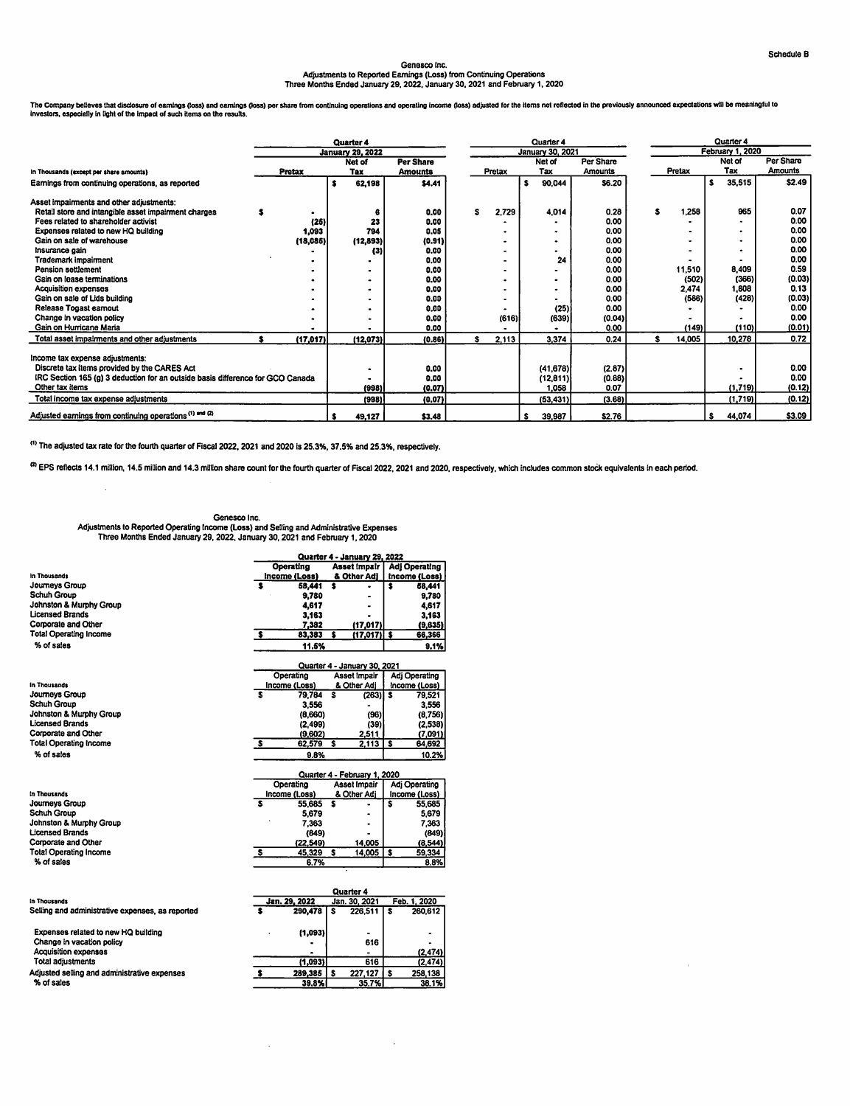## Genesco Inc.<br>Adjustments to Reported Eamings (Loss) from Continuing Operations Adjustments to Reported Earnings (Loss) from Continuing Operations Three Months Ended January 29.2022, January 30,2021 and February 1,2020

ne Company believes that asclosure of earnings (toss) and earnings (toss) per share from continuing operations and operating income (toss) adjusted for the nems not relected in the previously announced expectations will be

|                                                                                | Quarter 4 |           |  |                         |                |  |        |   | Quarter 4        |                |   | Quarter 4 |                         |           |                |  |  |
|--------------------------------------------------------------------------------|-----------|-----------|--|-------------------------|----------------|--|--------|---|------------------|----------------|---|-----------|-------------------------|-----------|----------------|--|--|
|                                                                                |           |           |  | <b>January 29, 2022</b> |                |  |        |   | January 30, 2021 |                |   |           | <b>February 1, 2020</b> |           |                |  |  |
|                                                                                |           |           |  | Net of                  | Per Share      |  |        |   | Net of           | Per Share      |   |           |                         | Net of    | Per Share      |  |  |
| In Thousands (except per share amounts)                                        |           | Pretax    |  | Tax                     | <b>Amounts</b> |  | Pretax |   | Tax              | <b>Amounts</b> |   | Pretax    |                         | Tax       | <b>Amounts</b> |  |  |
| Earnings from continuing operations, as reported                               |           |           |  | 62,198                  | \$4,41         |  |        | s | 90,044           | <b>S6.20</b>   |   |           | <b>s</b>                | 35,515    | \$2.49         |  |  |
| Asset impairments and other adjustments:                                       |           |           |  |                         |                |  |        |   |                  |                |   |           |                         |           |                |  |  |
| Retail store and intangible asset impairment charges                           |           |           |  |                         | 0.00           |  | 2,729  |   | 4,014            | 0.28           | s | 1,258     |                         | 965       | 0.07           |  |  |
| Fees related to shareholder activist                                           |           | (26)      |  | 23                      | 0.00           |  |        |   |                  | 0.00           |   |           |                         |           | 0.00           |  |  |
| Expenses related to new HQ building                                            |           | 1,093     |  | 794                     | 0.05           |  |        |   |                  | 0.00           |   |           |                         | $\bullet$ | 0.00           |  |  |
| Gain on sale of warehouse                                                      |           | (18,085)  |  | (12,893)                | (0.91)         |  |        |   | ٠                | 0.00           |   |           |                         | ۰         | 0.00           |  |  |
| Insurance gain                                                                 |           |           |  | (3)                     | 0.00           |  |        |   |                  | 0.00           |   |           |                         | $\bullet$ | 0.00           |  |  |
| Trademark impairment                                                           |           |           |  |                         | 0.00           |  |        |   | 24               | 0.00           |   |           |                         |           | 0.00           |  |  |
| Pension settlement                                                             |           |           |  |                         | 0.00           |  |        |   |                  | 0.00           |   | 11,510    |                         | 8.409     | 0.59           |  |  |
| Gain on lease terminations                                                     |           |           |  |                         | 0.00           |  |        |   |                  | 0.00           |   | (502)     |                         | (366)     | (0.03)         |  |  |
| <b>Acquisition expenses</b>                                                    |           |           |  |                         | 0.00           |  |        |   | ٠                | 0.00           |   | 2,474     |                         | 1,808     | 0.13           |  |  |
| Gain on sale of Lids building                                                  |           |           |  |                         | 0.00           |  |        |   |                  | 0.00           |   | (586)     |                         | (428)     | (0.03)         |  |  |
| Release Togast earnout                                                         |           |           |  |                         | 0.00           |  |        |   | (25)             | 0.00           |   |           |                         |           | 0.00           |  |  |
| Change in vacation policy                                                      |           |           |  |                         | 0.00           |  | (616)  |   | (639)            | (0.04)         |   |           |                         |           | 0.00           |  |  |
| Gain on Hurricane Maria                                                        |           |           |  |                         | 0.00           |  |        |   |                  | 0.00           |   | (149)     |                         | (110)     | (0.01)         |  |  |
| Total asset impairments and other adjustments                                  |           | (17, 017) |  | (12,073)                | (0.86)         |  | 2,113  |   | 3,374            | 0.24           | s | 14,005    |                         | 10,278    | 0.72           |  |  |
| Income tax expense adjustments:                                                |           |           |  |                         |                |  |        |   |                  |                |   |           |                         |           |                |  |  |
| Discrete tax items provided by the CARES Act                                   |           |           |  | $\bullet$               | 0.00           |  |        |   | (41, 678)        | (2.87)         |   |           |                         |           | 0.00           |  |  |
| IRC Section 165 (g) 3 deduction for an outside basis difference for GCO Canada |           |           |  |                         | 0.00           |  |        |   | (12, 811)        | (0.88)         |   |           |                         |           | 0.00           |  |  |
| Other tax items                                                                |           |           |  | (998)                   | (0.07)         |  |        |   | 1.058            | 0.07           |   |           |                         | (1,719)   | (0.12)         |  |  |
| Total income tax expense adjustments                                           |           |           |  | (998)                   | (0.07)         |  |        |   | (53, 431)        | (3.68)         |   |           |                         | (1,719)   | (0.12)         |  |  |
| Adjusted earnings from continuing operations <sup>(1)</sup> and (2)            |           |           |  | 49,127                  | \$3.48         |  |        | s | 39,987           | \$2.76         |   |           | s                       | 44,074    | \$3.09         |  |  |

 $^{(1)}$  The adjusted tax rate for the fourth quarter of Fiscal 2022, 2021 and 2020 is 25.3%, 37.5% and 25.3%, respectively.

(a) EPS reflects 14.1 million, 14.5 million and 14.3 million share count for the fourth quarter of Fiscal 2022, 2021 and 2020, respectively, which includes common stock equivalents in each period.

Genesco Inc. Adjustments to Reported Operating Income (Loss) and Selling and Administrative Expenses Three Months Ended January 29,2022, January 30,2021 and February 1,2020

| In Thousands                  |
|-------------------------------|
| Journeys Group                |
| Schuh Group                   |
| Johnston & Murphy Group       |
|                               |
| <b>Licensed Brands</b>        |
| Corporate and Other           |
| <b>Total Operating Income</b> |
|                               |
| % of sales                    |

In Thousands<br>Journeys Group Journeys Group Schuh Group Johnston & Murphy Group Licensed Brands Corporate and Other Total Operating Income % of sales

|               |             | Quarter 4 - January 29, 2022 |                      |  |  |  |  |  |  |
|---------------|-------------|------------------------------|----------------------|--|--|--|--|--|--|
| Operating     |             | <b>Asset Impair</b>          | <b>Adj Operating</b> |  |  |  |  |  |  |
| Income (Loss) |             | & Other Adj                  | Income (Loss)        |  |  |  |  |  |  |
|               | 58,441      |                              | 68,441               |  |  |  |  |  |  |
|               | 9.780       |                              | 9,780                |  |  |  |  |  |  |
|               | 4.617       |                              | 4.617                |  |  |  |  |  |  |
|               | 3,163       |                              | 3.163                |  |  |  |  |  |  |
|               | 7.382       | (17, 017)                    | (9,635)              |  |  |  |  |  |  |
|               | 83,383<br>s | $(17,017)$ \$                | 66,366               |  |  |  |  |  |  |
|               | 11.6%       |                              | 9.1%                 |  |  |  |  |  |  |
|               |             | Quarter 4 - January 30, 2021 |                      |  |  |  |  |  |  |
| Operating     |             | Asset Impair                 | Adj Operating        |  |  |  |  |  |  |

| ----------    |   | .           |              |               |
|---------------|---|-------------|--------------|---------------|
| Income (Loss) |   | & Other Adi |              | Income (Loss) |
| 79.764<br>s   | s | $(263)$ S   |              | 79.521        |
| 3.556         |   |             |              | 3.556         |
| (8.660)       |   | (96)        |              | (0.756)       |
| (2.499)       |   | (39)        |              | (2.538)       |
| (9,602)       |   | 2.511       |              | (7.091)       |
| 62.579        |   | 2,113       | $\mathbf{s}$ | 64.692        |
| 9.8%          |   |             |              | 10.2%         |

|                               | Quarter 4 - February 1, 2020 |               |                |  |  |               |  |  |  |  |  |
|-------------------------------|------------------------------|---------------|----------------|--|--|---------------|--|--|--|--|--|
|                               |                              | Operating     | Asset Impair   |  |  | Adi Operating |  |  |  |  |  |
| In Thousands                  |                              | Income (Loss) | & Other Adi    |  |  | Income (Loss) |  |  |  |  |  |
| Journeys Group                |                              | 55,685        | $\blacksquare$ |  |  | 55,685        |  |  |  |  |  |
| Schuh Group                   |                              | 5.679         | ٠              |  |  | 5,679         |  |  |  |  |  |
| Johnston & Murphy Group       |                              | 7.363         | $\bullet$      |  |  | 7.363         |  |  |  |  |  |
| Licensed Brands               |                              | (849)         | ٠              |  |  | (849)         |  |  |  |  |  |
| Corporate and Other           |                              | (22.549)      | 14.005         |  |  | (8,544)       |  |  |  |  |  |
| <b>Total Operating Income</b> |                              | 45,329        | 14,005         |  |  | 59,334        |  |  |  |  |  |
| % of sales                    |                              | 6.7%          |                |  |  | 8.8%          |  |  |  |  |  |

|                                                  | Quarter 4 |               |  |                |   |              |  |  |  |  |  |
|--------------------------------------------------|-----------|---------------|--|----------------|---|--------------|--|--|--|--|--|
| In Thousands                                     |           | Jan. 29, 2022 |  | Jan. 30, 2021  |   | Feb. 1. 2020 |  |  |  |  |  |
| Selling and administrative expenses, as reported |           | 290,478       |  | 226,511        | s | 260.612      |  |  |  |  |  |
| Expenses related to new HQ building              |           | (1,093)       |  | $\blacksquare$ |   | ۰            |  |  |  |  |  |
| Change in vacation policy                        |           | ۰             |  | 616            |   | ٠            |  |  |  |  |  |
| <b>Acquisition expenses</b>                      |           | ٠             |  |                |   | (2,474)      |  |  |  |  |  |
| Total adjustments                                |           | (1.093)       |  | 616            |   | (2,474)      |  |  |  |  |  |
| Adjusted selling and administrative expenses     |           | 289,385       |  | $227.127$ is   |   | 258.138      |  |  |  |  |  |
| % of sales                                       |           | 39.8%         |  | 35.7%          |   | 38.1%        |  |  |  |  |  |

 $\bar{z}$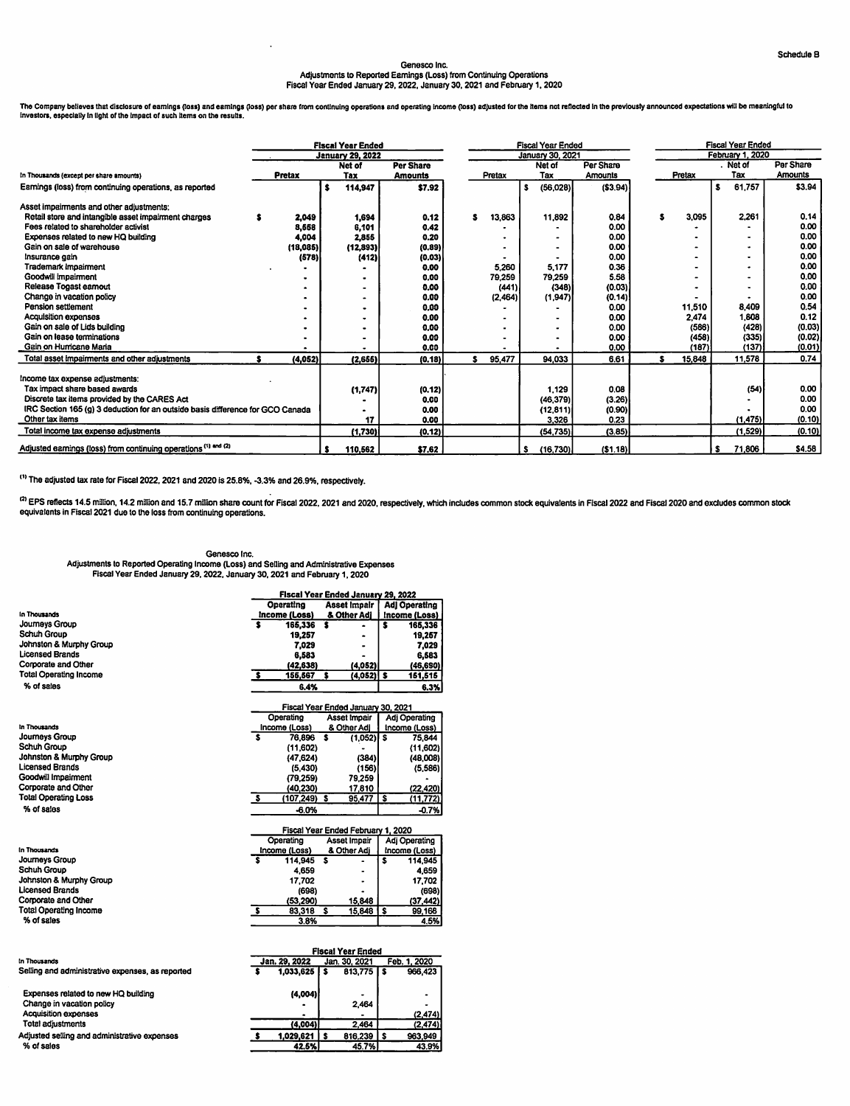## Genesco Inc. Adjustments lo Reported Earnings (Loss) from Continuing Operations Fiscal Year Ended January 29, 2022, January 30, 2021 and February 1, 2020

rno Company beneves that disclosure or earnings (loss) and earnings (loss) per share from continuing operators and operating mome (loss) adjusted for the nems not reflected in the previously amounced expectations will be i

|                                                                                | <b>Fiscal Year Ended</b> |               |   |                         |                  | <b>Fiscal Year Ended</b> |         |   |                |           |  |   | <b>Fiscal Year Ended</b> |    |                  |           |  |  |
|--------------------------------------------------------------------------------|--------------------------|---------------|---|-------------------------|------------------|--------------------------|---------|---|----------------|-----------|--|---|--------------------------|----|------------------|-----------|--|--|
|                                                                                |                          |               |   | <b>January 29, 2022</b> |                  | January 30, 2021         |         |   |                |           |  |   |                          |    | February 1, 2020 |           |  |  |
|                                                                                |                          |               |   | Net of                  | <b>Per Share</b> |                          |         |   | Net of         | Per Share |  |   |                          |    | Net of           | Per Share |  |  |
| In Thousands (except per share amounts)                                        |                          | <b>Pretax</b> |   | Tax                     | <b>Amounts</b>   |                          | Pretax  |   | Tax            | Amounts   |  |   | Pretax                   |    | Tax              | Amounts   |  |  |
| Earnings (loss) from continuing operations, as reported                        |                          |               | s | 114,947                 | \$7.92           |                          |         | Ŝ | (56,028)       | ( \$3.94) |  |   |                          | s  | 61,757           | \$3.94    |  |  |
| Asset impairments and other adjustments:                                       |                          |               |   |                         |                  |                          |         |   |                |           |  |   |                          |    |                  |           |  |  |
| Retail store and intangible asset impairment charges                           |                          | 2,049         |   | 1,694                   | 0.12             | s                        | 13,863  |   | 11,892         | 0.84      |  | s | 3,095                    |    | 2,261            | 0.14      |  |  |
| Fees related to shareholder activist                                           |                          | 8,668         |   | 6.101                   | 0.42             |                          |         |   |                | 0.00      |  |   |                          |    |                  | 0.00      |  |  |
| Expenses related to new HQ building                                            |                          | 4,004         |   | 2,855                   | 0.20             |                          |         |   | ۰              | 0.00      |  |   |                          |    |                  | 0.00      |  |  |
| Gain on sale of warehouse                                                      |                          | (18,085)      |   | (12,893)                | (0.89)           |                          |         |   | $\blacksquare$ | 0.00      |  |   |                          |    | $\bullet$        | 0.00      |  |  |
| Insurance gain                                                                 |                          | (578)         |   | (412)                   | (0.03)           |                          |         |   |                | 0.00      |  |   |                          |    |                  | 0.00      |  |  |
| Trademark impairment                                                           |                          |               |   |                         | 0.00             |                          | 5,260   |   | 5.177          | 0.36      |  |   |                          |    |                  | 0.00      |  |  |
| Goodwill impairment                                                            |                          |               |   |                         | 0.00             |                          | 79,259  |   | 79.259         | 5.58      |  |   |                          |    |                  | 0.00      |  |  |
| Release Togast earnout                                                         |                          |               |   |                         | 0.00             |                          | (441)   |   | (348)          | (0.03)    |  |   |                          |    |                  | 0.00      |  |  |
| Change in vacation policy                                                      |                          |               |   |                         | 0.00             |                          | (2,464) |   | (1,947)        | (0.14)    |  |   |                          |    |                  | 0.00      |  |  |
| Pension settlement                                                             |                          |               |   |                         | 0.00             |                          |         |   |                | 0.00      |  |   | 11,510                   |    | 8,409            | 0.54      |  |  |
| <b>Acquisition expenses</b>                                                    |                          |               |   |                         | 0.00             |                          |         |   |                | 0.00      |  |   | 2.474                    |    | 1,808            | 0.12      |  |  |
| Gain on sale of Lids building                                                  |                          |               |   |                         | 0.00             |                          |         |   |                | 0.00      |  |   | (586)                    |    | (428)            | (0.03)    |  |  |
| Gain on lease terminations                                                     |                          |               |   |                         | 0.00             |                          |         |   | $\bullet$      | 0.00      |  |   | (458)                    |    | (335)            | (0.02)    |  |  |
| Gain on Humcane Maria                                                          |                          |               |   |                         | 0.00             |                          |         |   |                | 0.00      |  |   | (187)                    |    | (137)]           | (0.01)    |  |  |
| Total asset impairments and other adjustments                                  |                          | (4,052)       |   | (2,655)                 | (0.18)           | s                        | 95,477  |   | 94,033         | 6.61      |  | s | 15,848                   |    | 11,578           | 0.74      |  |  |
| Income tax expense adjustments:                                                |                          |               |   |                         |                  |                          |         |   |                |           |  |   |                          |    |                  |           |  |  |
| Tax impact share based awards                                                  |                          |               |   | (1,747)                 | (0.12)           |                          |         |   | 1.129          | 0.08      |  |   |                          |    | (54)             | 0.00      |  |  |
| Discrete tax items provided by the CARES Act                                   |                          |               |   |                         | 0,00             |                          |         |   | (46,379)       | (3.26)    |  |   |                          |    |                  | 0.00      |  |  |
| IRC Section 165 (g) 3 deduction for an outside basis difference for GCO Canada |                          |               |   |                         | 0.00             |                          |         |   | (12, 811)      | (0.90)    |  |   |                          |    |                  | 0.00      |  |  |
| Other tax items                                                                |                          |               |   | 17                      | 0.00             |                          |         |   | 3,326          | 0.23      |  |   |                          |    | (1.475)          | (0.10)    |  |  |
| Total income tax expense adjustments                                           |                          |               |   | (1,730)                 | (0.12)           |                          |         |   | (54, 735)      | (3.85)    |  |   |                          |    | (1,529)          | (0.10)    |  |  |
| Adjusted earnings (loss) from continuing operations <sup>(1) and (2)</sup>     |                          |               |   | 110,562                 | \$7.62           |                          |         | s | (16, 730)      | (51.18)   |  |   |                          | s. | 71,806           | \$4.58    |  |  |

(i> The adjusted tax rate for Fiscal 2022, 2021 and 2020 is 25.8%, -3,3% and 26.9%, respectively.

<sup>cx</sup> EPS reflects 14.5 million, 14.2 million and 15.7 million share count for Fiscal 2022, 2021 and 2020, respectively, which includes common stock equivalents in Fiscal 2022 and Fiscal 2020 and excludes common stock equivalents in Fiscal 2021 due to the loss from continuing operations.

> (2,474) (2,474)  $\frac{963,949}{43,9%}$

## Genesco Inc.

Adjustments to Reported Operating Income (Loss) and Selling and Administrative Expenses Fiscal Year Ended January 29. 2022, January 30, 2021 and Febnjary 1,2020

|                                                  |         | Fiscal Year Ended January 29, 2022 |                          |                          |               |                      |  |  |
|--------------------------------------------------|---------|------------------------------------|--------------------------|--------------------------|---------------|----------------------|--|--|
|                                                  |         | Operating                          |                          | <b>Asset Impair</b>      |               | <b>Adj Operating</b> |  |  |
| In Thousands                                     |         | Income (Loss)                      |                          | & Other Adi              | Income (Loss) |                      |  |  |
| Journeys Group                                   | s       | 165,336                            | s                        |                          | s             | 165,336              |  |  |
| Schuh Group                                      |         | 19,257                             |                          |                          |               | 19,257               |  |  |
| Johnston & Murphy Group                          |         | 7,029                              |                          |                          |               | 7.029                |  |  |
| <b>Licensed Brands</b>                           |         | 6,583                              |                          |                          |               | 6,583                |  |  |
| Corporate and Other                              |         | (42.638)                           |                          | (4,052)                  |               | (46, 690)            |  |  |
| <b>Total Operating Income</b>                    | s       | 155,567                            | s                        | (4,052) \$               |               | 151,515              |  |  |
| % of sales                                       |         | 6.4%                               |                          |                          |               | 6.3%                 |  |  |
|                                                  |         | Fiscal Year Ended January 30, 2021 |                          |                          |               |                      |  |  |
|                                                  |         | Operatino                          |                          | <b>Asset Impair</b>      |               | <b>Adj Operating</b> |  |  |
| <b>In Thousands</b>                              |         | Income (Loss)                      |                          | & Other Adi              |               | Income (Loss)        |  |  |
| <b>Journeys Group</b>                            | s       | 76,896                             | s                        | (1.052)                  | Γs            | 75.844               |  |  |
| <b>Schuh Group</b>                               |         | (11.602)                           |                          |                          |               | (11,602)             |  |  |
| Johnston & Murphy Group                          |         | (47, 624)                          |                          | (384)                    |               | (48,008)             |  |  |
| <b>Licensed Brands</b>                           |         | (5.430)                            |                          | (156)                    |               | (5,586)              |  |  |
| Goodwill Impairment                              |         | (79.259)                           |                          | 79,259                   |               |                      |  |  |
| Corporate and Other                              |         | (40, 230)                          |                          | 17,810                   |               | (22, 420)            |  |  |
| <b>Total Operating Loss</b>                      | s       | $(107, 249)$ \$                    |                          | 95,477                   | Γŝ            | (11, 772)            |  |  |
| % of sales                                       |         | $-6.0%$                            |                          |                          |               | $-0.7%$              |  |  |
|                                                  |         | Fiscal Year Ended February 1, 2020 |                          |                          |               |                      |  |  |
|                                                  |         | Operating                          |                          | Asset Impair             |               | Adj Operating        |  |  |
| In Thousands                                     |         | Income (Loss)                      |                          | & Other Adi              |               | Income (Loss)        |  |  |
| <b>Journeys Group</b>                            | s       | 114.945                            | s                        |                          | s             | 114,945              |  |  |
| Schuh Group                                      |         | 4.659                              |                          |                          |               | 4,659                |  |  |
| Johnston & Murphy Group                          |         | 17.702                             |                          |                          |               | 17,702               |  |  |
| <b>Licensed Brands</b>                           |         | (698)                              |                          |                          |               | (698)                |  |  |
| Corporate and Other                              |         | (53.290)                           |                          | 15.848                   |               | (37.442)             |  |  |
| <b>Total Operating Income</b>                    | $\cdot$ | 83.318                             | $\overline{\mathbf{s}}$  | 15,848                   | ⊺s            | 99.166               |  |  |
| % of sales                                       |         | 3.8%                               |                          |                          |               | 4.5%                 |  |  |
|                                                  |         |                                    |                          |                          |               |                      |  |  |
|                                                  |         |                                    |                          | <b>Fiscal Year Ended</b> |               |                      |  |  |
| In Thousands                                     |         | Jan. 29, 2022                      |                          | Jan. 30, 2021            |               | Feb. 1, 2020         |  |  |
| Selling and administrative expenses, as reported | s       | 1,033,625                          | $\overline{\phantom{a}}$ | 813,775                  | $\mathbf{s}$  | 966,423              |  |  |
| Expenses related to new HQ building              |         | (4,004)                            |                          |                          |               |                      |  |  |
| Change in vacation policy                        |         |                                    |                          | 2,464                    |               |                      |  |  |

(4,004) <u>\$ 1,029,621 | \$ 816,239</u>

2,464<br>816,239

42.5% 45.7% 43,9%

Acquisition expenses Total adjustments

% of sales

Adjusted selling and administrative expenses